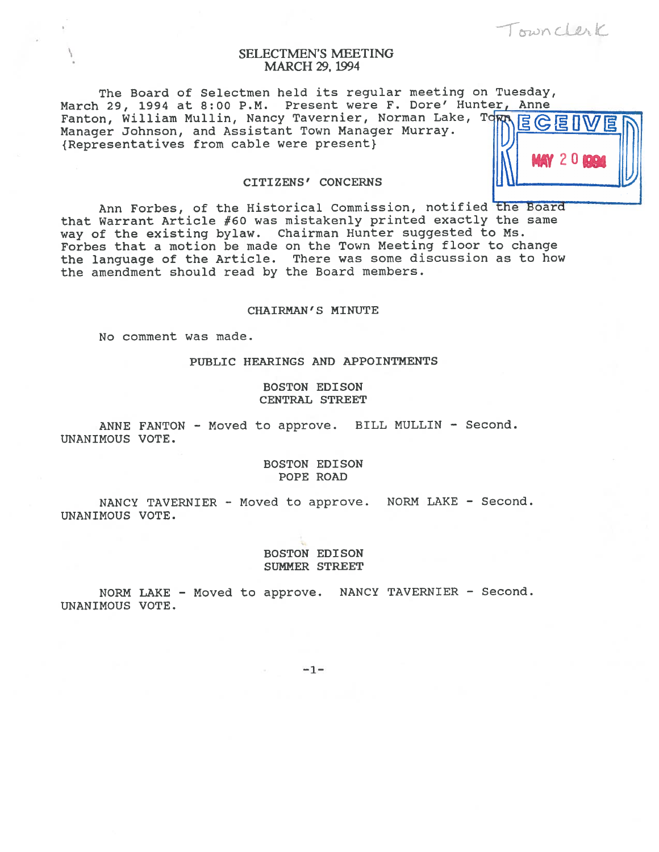Townclerk

**IN MAY 20 BBC** 

# SELECTMEN'S MEETING MARCH 29, 1994

The Board of Selectmen held its regular meeting on Tuesday, March 29, 1994 at 8:00 P.M. Present were F. Dore' Hunter, Anne March 29, 1994 at 8.00 find 1100000 with the service of the Ranton, William Mullin, Nancy Tavernier, Norman Lake, Tom ECEI Manager Johnson, and Assistant Town Manager Murray.<br>{Representatives from cable were present}

# CITIZENS' CONCERNS

Ann Forbes, of the Historical Commission, notified the Board that Warrant Article #60 was mistakenly printed exactly the same way of the existing bylaw. Chairman Hunter suggested to Ms. Forbes that <sup>a</sup> motion be made on the Town Meeting floor to change the language of the Article. There was some discussion as to how the amendment should read by the Board members.

### CHAIRMAN'S MINUTE

No comment was made.

PUBLIC HEARINGS AND APPOINTMENTS

BOSTON EDISON CENTRAL STREET

ANNE FANTON - Moved to approve. BILL MULLIN - Second. UNANIMOUS VOTE.

> BOSTON EDISON POPE ROAD

NANCY TAVERNIER - Moved to approve. NORM LAKE - Second. UNANIMOUS VOTE.

> BOSTON EDISON SUMNER STREET

NORM LAKE - Moved to approve. NANCY TAVERNIER - Second. UNANIMOUS VOTE.

 $-1-$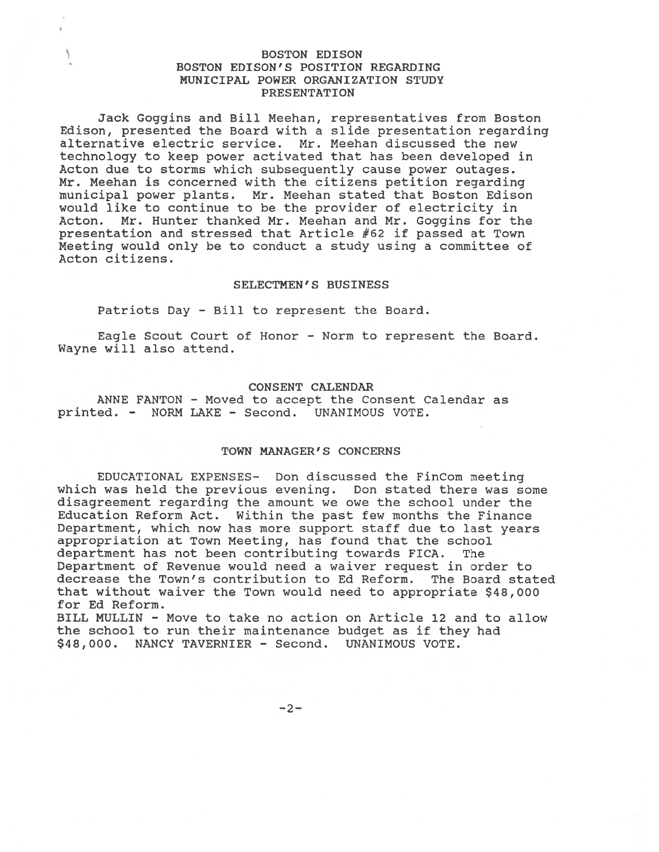## BOSTON EDISON BOSTON EDISON'S POSITION REGARDING MUNICIPAL POWER ORGANIZATION STUDY PRESENTATION

Jack Goggins and Bill Meehan, representatives from Boston Edison, presented the Board with <sup>a</sup> slide presentation regarding alternative electric service. Mr. Meehan discussed the new technology to keep power activated that has been developed in Acton due to storms which subsequently cause power outages. Mr. Meehan is concerned with the citizens petition regarding municipal power plants. Mr. Meehan stated that Boston Edison would like to continue to be the provider of electricity in Acton. Mr. Hunter thanked Mr. Meehan and Mr. Goggins for the presentation and stressed that Article #62 if passed at Town Meeting would only be to conduct <sup>a</sup> study using <sup>a</sup> committee of Acton citizens.

### SELECTMEN'S BUSINESS

Patriots Day - Bill to represen<sup>t</sup> the Board.

Eagle Scout Court of Honor — Norm to represen<sup>t</sup> the Board. Wayne will also attend.

### CONSENT CALENDAR

ANNE FANTON - Moved to accep<sup>t</sup> the Consent Calendar as printed. - NORM LAKE - Second. UNANIMOUS VOTE.

### TOWN MANAGER'S CONCERNS

EDUCATIONAL EXPENSES- Don discussed the FinCom meeting which was held the previous evening. Don stated there was some disagreement regarding the amount we owe the school under the Education Reform Act. Within the pas<sup>t</sup> few months the Finance Department, which now has more suppor<sup>t</sup> staff due to last years appropriation at Town Meeting, has found that the school department has not been contributing towards FICA. The Department of Revenue would need <sup>a</sup> waiver reques<sup>t</sup> in order to decrease the Town's contribution to Ed Reform. The Board stated that without waiver the Town would need to appropriate \$48,000 for Ed Reform.

BILL MULLIN - Move to take no action on Article 12 and to allow the school to run their maintenance budget as if they had \$48,000. NANCY TAVERNIER - Second. UNANIMOUS VOTE.

 $-2-$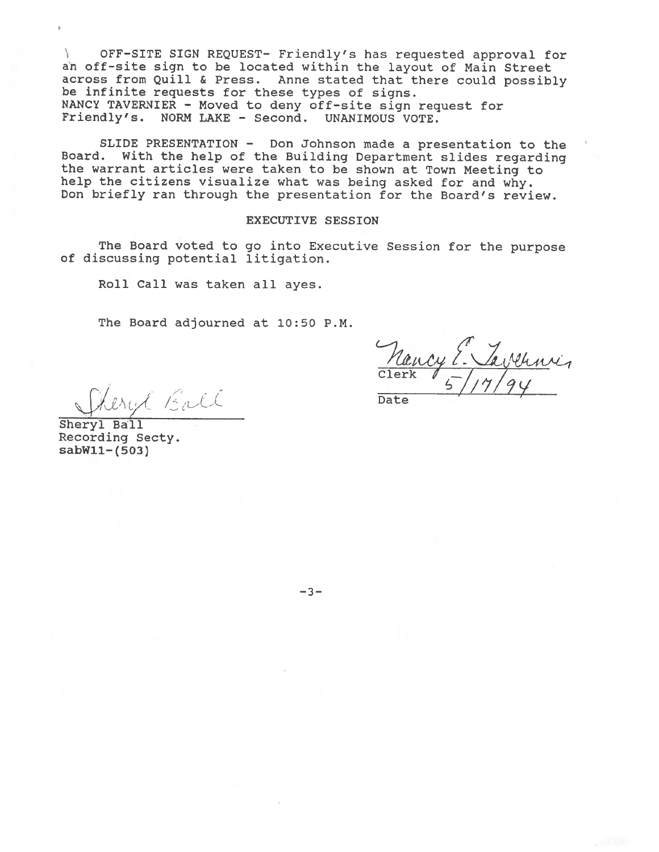OFF—SITE SIGN REQUEST- Friendly's has requested approva<sup>l</sup> for  $\mathcal{L}$ an off-site sign to be located within the layout of Main Street across from Quill & Press. Anne stated that there could possibly be infinite requests for these types of signs. NANCY TAVERNIER - Moved to deny off-site sign request for Friendly's. NORM LAKE - Second. UNANIMOUS VOTE.

SLIDE PRESENTATION — Don Johnson made <sup>a</sup> presentation to the Board. With the help of the Building Department slides regarding the warrant articles were taken to be shown at Town Meeting to help the citizens visualize what was being asked for and why. Don briefly ran through the presentation for the Board's review.

# EXECUTIVE SESSION

The Board voted to go into Executive Session for the purpose of discussing potential litigation.

Roll Call was taken all ayes.

The Board adjourned at 10:50 P.M.

 $Clerk$   $/$   $-$  /  $/$ 

erest Ball Date

Sheryl Ball Recording Secty. sabWll—(503)

—3—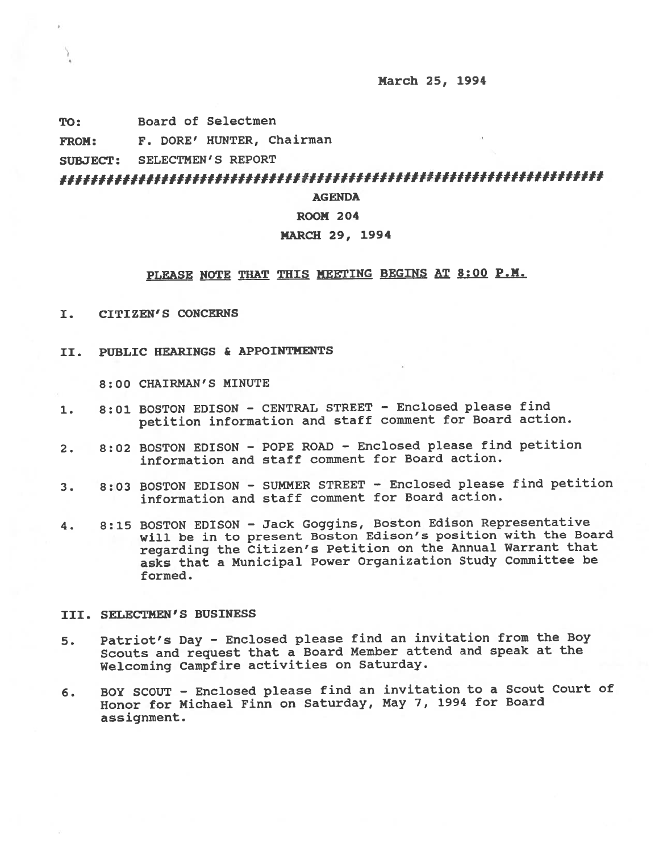March 25, 1994

TO: Board of Selectmen

FROM: F. DORE' HUNTER, Chairman

SUBJECT: SELECTMEN'S REPORT

f#f#f#######fI#f###II#ffI##H#f##fI#I####I#IfII#fffffff##f#fff####f#ff

**AGENDA** 

### ROOM 204

## MARCH 29, 1994

# PLEASE NOTE THAT ThIS MEETING BEGINS AT 8:00 P.M.

- I. CITIZEN'S CONCERNS
- II. PUBLIC HEARINGS & APPOINTMENTS

8:00 CHAIRMAN'S MINUTE

- 1. 8:01 BOSTON EDISON CENTRAL STREET Enclosed <sup>p</sup>lease find petition information and staff comment for Board action.
- 2. 8:02 BOSTON EDISON POPE ROAD Enclosed <sup>p</sup>lease find petition information and staff comment for Board action.
- 3. 8:03 BOSTON EDISON SUMMER STREET Enclosed <sup>p</sup>lease find petition information and staff comment for Board action.
- 4. 8:15 BOSTON EDISON Jack Goggins, Boston Edison Representative will be in to presen<sup>t</sup> Boston Edison's position with the Board regarding the Citizen's Petition on the Annual Warrant that asks that <sup>a</sup> Municipal Power Organization Study Committee be formed.

### III. SELECTMEN'S BUSINESS

- 5. Patriot's Day Enclosed <sup>p</sup>lease find an invitation from the Boy Scouts and reques<sup>t</sup> that <sup>a</sup> Board Member attend and spea<sup>k</sup> at the Welcoming Campfire activities on Saturday.
- 6. BOY SCOUT Enclosed <sup>p</sup>lease find an invitation to <sup>a</sup> Scout Court of Honor for Michael Finn on Saturday, May 7, <sup>1994</sup> for Board assignment.